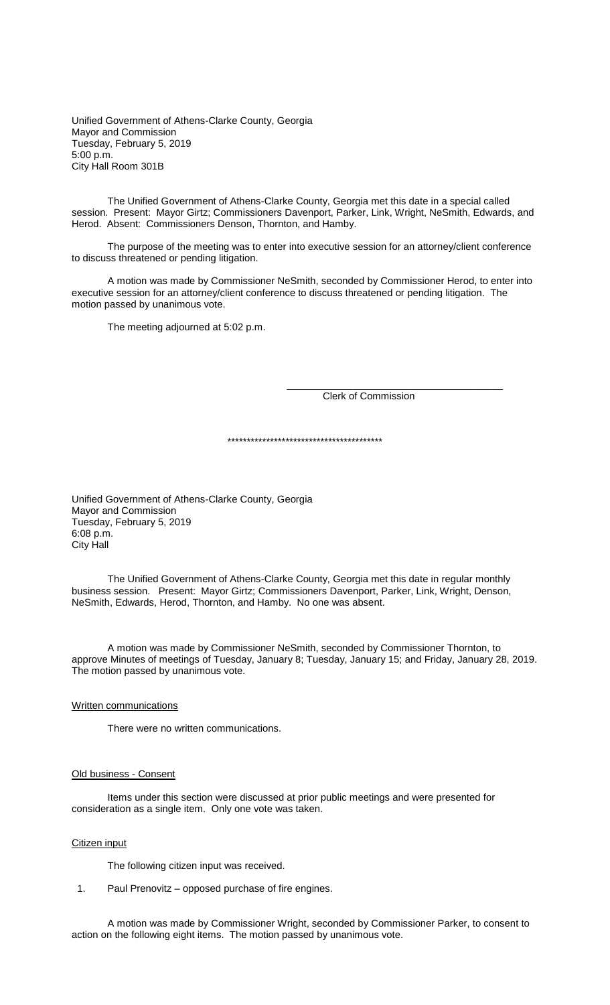Unified Government of Athens-Clarke County, Georgia Mayor and Commission Tuesday, February 5, 2019 5:00 p.m. City Hall Room 301B

The Unified Government of Athens-Clarke County, Georgia met this date in a special called session. Present: Mayor Girtz; Commissioners Davenport, Parker, Link, Wright, NeSmith, Edwards, and Herod. Absent: Commissioners Denson, Thornton, and Hamby.

The purpose of the meeting was to enter into executive session for an attorney/client conference to discuss threatened or pending litigation.

A motion was made by Commissioner NeSmith, seconded by Commissioner Herod, to enter into executive session for an attorney/client conference to discuss threatened or pending litigation. The motion passed by unanimous vote.

The meeting adjourned at 5:02 p.m.

Clerk of Commission

\_\_\_\_\_\_\_\_\_\_\_\_\_\_\_\_\_\_\_\_\_\_\_\_\_\_\_\_\_\_\_\_\_\_\_\_\_\_\_

\*\*\*\*\*\*\*\*\*\*\*\*\*\*\*\*\*\*\*\*\*\*\*\*\*\*\*\*\*\*\*\*\*\*\*\*\*\*\*\*

Unified Government of Athens-Clarke County, Georgia Mayor and Commission Tuesday, February 5, 2019 6:08 p.m. City Hall

The Unified Government of Athens-Clarke County, Georgia met this date in regular monthly business session. Present: Mayor Girtz; Commissioners Davenport, Parker, Link, Wright, Denson, NeSmith, Edwards, Herod, Thornton, and Hamby. No one was absent.

A motion was made by Commissioner NeSmith, seconded by Commissioner Thornton, to approve Minutes of meetings of Tuesday, January 8; Tuesday, January 15; and Friday, January 28, 2019. The motion passed by unanimous vote.

#### Written communications

There were no written communications.

### Old business - Consent

Items under this section were discussed at prior public meetings and were presented for consideration as a single item. Only one vote was taken.

#### Citizen input

The following citizen input was received.

1. Paul Prenovitz – opposed purchase of fire engines.

A motion was made by Commissioner Wright, seconded by Commissioner Parker, to consent to action on the following eight items. The motion passed by unanimous vote.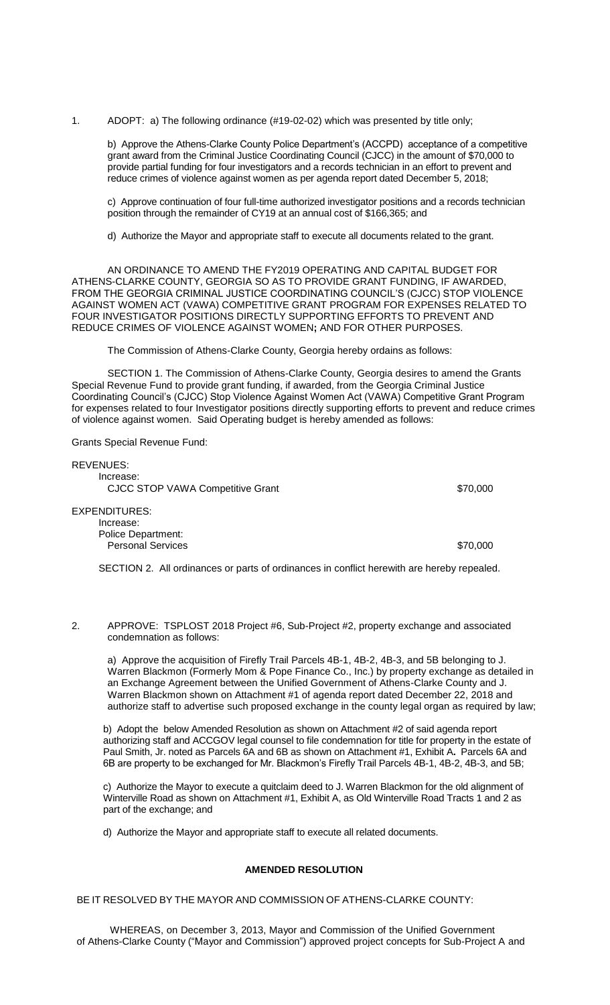1. ADOPT: a) The following ordinance (#19-02-02) which was presented by title only;

b) Approve the Athens-Clarke County Police Department's (ACCPD) acceptance of a competitive grant award from the Criminal Justice Coordinating Council (CJCC) in the amount of \$70,000 to provide partial funding for four investigators and a records technician in an effort to prevent and reduce crimes of violence against women as per agenda report dated December 5, 2018;

c) Approve continuation of four full-time authorized investigator positions and a records technician position through the remainder of CY19 at an annual cost of \$166,365; and

d) Authorize the Mayor and appropriate staff to execute all documents related to the grant.

AN ORDINANCE TO AMEND THE FY2019 OPERATING AND CAPITAL BUDGET FOR ATHENS-CLARKE COUNTY, GEORGIA SO AS TO PROVIDE GRANT FUNDING, IF AWARDED, FROM THE GEORGIA CRIMINAL JUSTICE COORDINATING COUNCIL'S (CJCC) STOP VIOLENCE AGAINST WOMEN ACT (VAWA) COMPETITIVE GRANT PROGRAM FOR EXPENSES RELATED TO FOUR INVESTIGATOR POSITIONS DIRECTLY SUPPORTING EFFORTS TO PREVENT AND REDUCE CRIMES OF VIOLENCE AGAINST WOMEN**;** AND FOR OTHER PURPOSES.

The Commission of Athens-Clarke County, Georgia hereby ordains as follows:

SECTION 1. The Commission of Athens-Clarke County, Georgia desires to amend the Grants Special Revenue Fund to provide grant funding, if awarded, from the Georgia Criminal Justice Coordinating Council's (CJCC) Stop Violence Against Women Act (VAWA) Competitive Grant Program for expenses related to four Investigator positions directly supporting efforts to prevent and reduce crimes of violence against women. Said Operating budget is hereby amended as follows:

Grants Special Revenue Fund:

REVENUES:

| REVENUES:<br>Increase:<br><b>CJCC STOP VAWA Competitive Grant</b> | \$70,000 |
|-------------------------------------------------------------------|----------|
| EXPENDITURES:<br>Increase:                                        |          |
| <b>Police Department:</b><br><b>Personal Services</b>             | \$70,000 |
|                                                                   |          |

SECTION 2. All ordinances or parts of ordinances in conflict herewith are hereby repealed.

2. APPROVE: TSPLOST 2018 Project #6, Sub-Project #2, property exchange and associated condemnation as follows:

a) Approve the acquisition of Firefly Trail Parcels 4B-1, 4B-2, 4B-3, and 5B belonging to J. Warren Blackmon (Formerly Mom & Pope Finance Co., Inc.) by property exchange as detailed in an Exchange Agreement between the Unified Government of Athens-Clarke County and J. Warren Blackmon shown on Attachment #1 of agenda report dated December 22, 2018 and authorize staff to advertise such proposed exchange in the county legal organ as required by law;

b) Adopt the below Amended Resolution as shown on Attachment #2 of said agenda report authorizing staff and ACCGOV legal counsel to file condemnation for title for property in the estate of Paul Smith, Jr. noted as Parcels 6A and 6B as shown on Attachment #1, Exhibit A**.** Parcels 6A and 6B are property to be exchanged for Mr. Blackmon's Firefly Trail Parcels 4B-1, 4B-2, 4B-3, and 5B;

c) Authorize the Mayor to execute a quitclaim deed to J. Warren Blackmon for the old alignment of Winterville Road as shown on Attachment #1, Exhibit A, as Old Winterville Road Tracts 1 and 2 as part of the exchange; and

d) Authorize the Mayor and appropriate staff to execute all related documents.

### **AMENDED RESOLUTION**

BE IT RESOLVED BY THE MAYOR AND COMMISSION OF ATHENS-CLARKE COUNTY: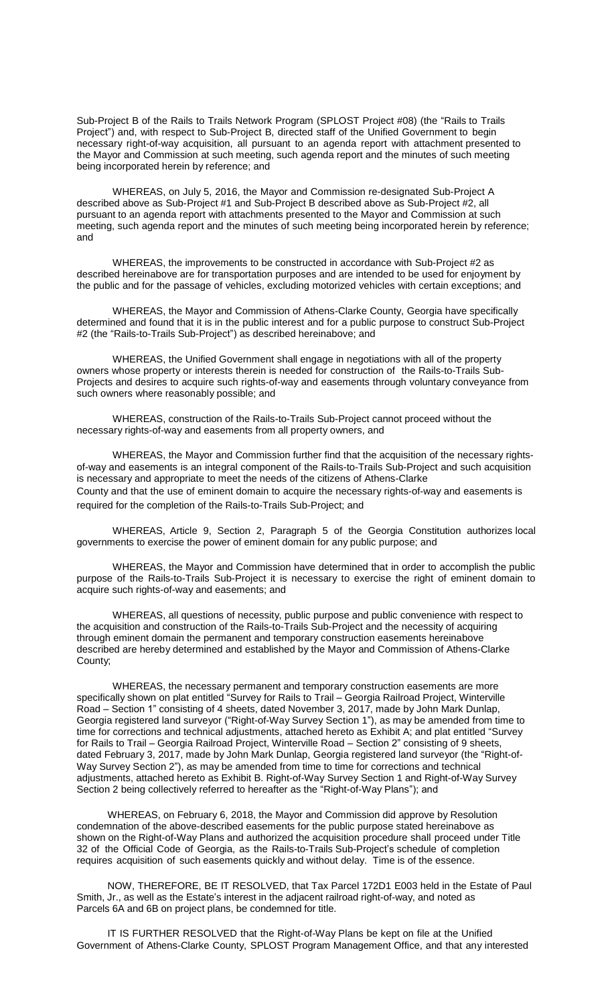Sub-Project B of the Rails to Trails Network Program (SPLOST Project #08) (the "Rails to Trails Project") and, with respect to Sub-Project B, directed staff of the Unified Government to begin necessary right-of-way acquisition, all pursuant to an agenda report with attachment presented to the Mayor and Commission at such meeting, such agenda report and the minutes of such meeting being incorporated herein by reference; and

WHEREAS, on July 5, 2016, the Mayor and Commission re-designated Sub-Project A described above as Sub-Project #1 and Sub-Project B described above as Sub-Project #2, all pursuant to an agenda report with attachments presented to the Mayor and Commission at such meeting, such agenda report and the minutes of such meeting being incorporated herein by reference; and

WHEREAS, the improvements to be constructed in accordance with Sub-Project #2 as described hereinabove are for transportation purposes and are intended to be used for enjoyment by the public and for the passage of vehicles, excluding motorized vehicles with certain exceptions; and

WHEREAS, the Mayor and Commission of Athens-Clarke County, Georgia have specifically determined and found that it is in the public interest and for a public purpose to construct Sub-Project #2 (the "Rails-to-Trails Sub-Project") as described hereinabove; and

WHEREAS, the Unified Government shall engage in negotiations with all of the property owners whose property or interests therein is needed for construction of the Rails-to-Trails Sub-Projects and desires to acquire such rights-of-way and easements through voluntary conveyance from such owners where reasonably possible; and

WHEREAS, construction of the Rails-to-Trails Sub-Project cannot proceed without the necessary rights-of-way and easements from all property owners, and

WHEREAS, the Mayor and Commission further find that the acquisition of the necessary rightsof-way and easements is an integral component of the Rails-to-Trails Sub-Project and such acquisition is necessary and appropriate to meet the needs of the citizens of Athens-Clarke County and that the use of eminent domain to acquire the necessary rights-of-way and easements is required for the completion of the Rails-to-Trails Sub-Project; and

WHEREAS, Article 9, Section 2, Paragraph 5 of the Georgia Constitution authorizes local governments to exercise the power of eminent domain for any public purpose; and

WHEREAS, the Mayor and Commission have determined that in order to accomplish the public purpose of the Rails-to-Trails Sub-Project it is necessary to exercise the right of eminent domain to acquire such rights-of-way and easements; and

WHEREAS, all questions of necessity, public purpose and public convenience with respect to the acquisition and construction of the Rails-to-Trails Sub-Project and the necessity of acquiring through eminent domain the permanent and temporary construction easements hereinabove described are hereby determined and established by the Mayor and Commission of Athens-Clarke County;

WHEREAS, the necessary permanent and temporary construction easements are more specifically shown on plat entitled "Survey for Rails to Trail – Georgia Railroad Project, Winterville Road – Section 1" consisting of 4 sheets, dated November 3, 2017, made by John Mark Dunlap, Georgia registered land surveyor ("Right-of-Way Survey Section 1"), as may be amended from time to time for corrections and technical adjustments, attached hereto as Exhibit A; and plat entitled "Survey for Rails to Trail – Georgia Railroad Project, Winterville Road – Section 2" consisting of 9 sheets, dated February 3, 2017, made by John Mark Dunlap, Georgia registered land surveyor (the "Right-of-Way Survey Section 2"), as may be amended from time to time for corrections and technical adjustments, attached hereto as Exhibit B. Right-of-Way Survey Section 1 and Right-of-Way Survey Section 2 being collectively referred to hereafter as the "Right-of-Way Plans"); and

WHEREAS, on February 6, 2018, the Mayor and Commission did approve by Resolution condemnation of the above-described easements for the public purpose stated hereinabove as shown on the Right-of-Way Plans and authorized the acquisition procedure shall proceed under Title 32 of the Official Code of Georgia, as the Rails-to-Trails Sub-Project's schedule of completion requires acquisition of such easements quickly and without delay. Time is of the essence.

NOW, THEREFORE, BE IT RESOLVED, that Tax Parcel 172D1 E003 held in the Estate of Paul Smith, Jr., as well as the Estate's interest in the adjacent railroad right-of-way, and noted as Parcels 6A and 6B on project plans, be condemned for title.

IT IS FURTHER RESOLVED that the Right-of-Way Plans be kept on file at the Unified Government of Athens-Clarke County, SPLOST Program Management Office, and that any interested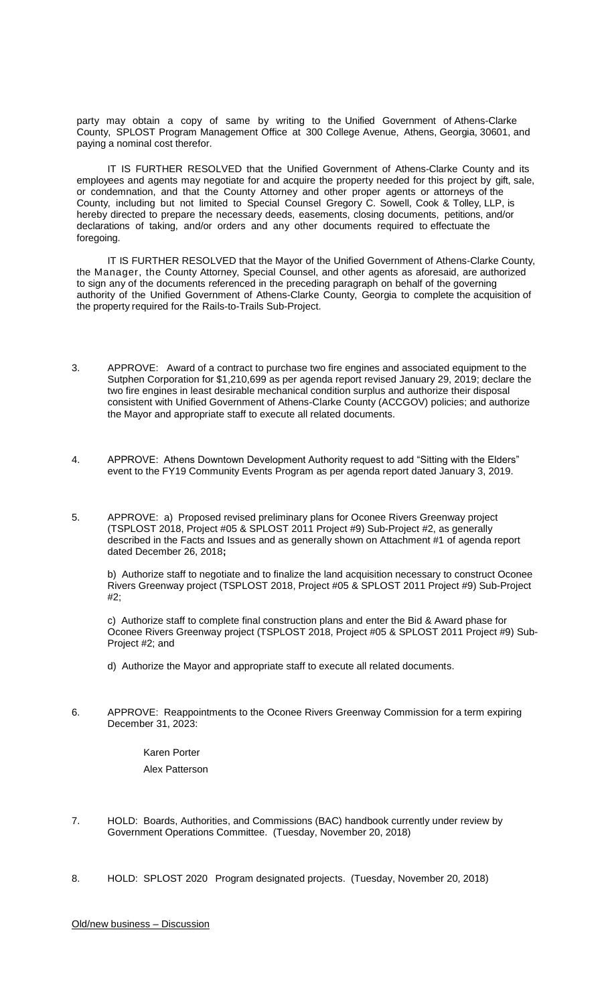party may obtain a copy of same by writing to the Unified Government of Athens-Clarke County, SPLOST Program Management Office at 300 College Avenue, Athens, Georgia, 30601, and paying a nominal cost therefor.

IT IS FURTHER RESOLVED that the Unified Government of Athens-Clarke County and its employees and agents may negotiate for and acquire the property needed for this project by gift, sale, or condemnation, and that the County Attorney and other proper agents or attorneys of the County, including but not limited to Special Counsel Gregory C. Sowell, Cook & Tolley, LLP, is hereby directed to prepare the necessary deeds, easements, closing documents, petitions, and/or declarations of taking, and/or orders and any other documents required to effectuate the foregoing.

IT IS FURTHER RESOLVED that the Mayor of the Unified Government of Athens-Clarke County, the Manager, the County Attorney, Special Counsel, and other agents as aforesaid, are authorized to sign any of the documents referenced in the preceding paragraph on behalf of the governing authority of the Unified Government of Athens-Clarke County, Georgia to complete the acquisition of the property required for the Rails-to-Trails Sub-Project.

- 3. APPROVE: Award of a contract to purchase two fire engines and associated equipment to the Sutphen Corporation for \$1,210,699 as per agenda report revised January 29, 2019; declare the two fire engines in least desirable mechanical condition surplus and authorize their disposal consistent with Unified Government of Athens-Clarke County (ACCGOV) policies; and authorize the Mayor and appropriate staff to execute all related documents.
- 4. APPROVE: Athens Downtown Development Authority request to add "Sitting with the Elders" event to the FY19 Community Events Program as per agenda report dated January 3, 2019.
- 5. APPROVE: a) Proposed revised preliminary plans for Oconee Rivers Greenway project (TSPLOST 2018, Project #05 & SPLOST 2011 Project #9) Sub-Project #2, as generally described in the Facts and Issues and as generally shown on Attachment #1 of agenda report dated December 26, 2018**;**

b) Authorize staff to negotiate and to finalize the land acquisition necessary to construct Oconee Rivers Greenway project (TSPLOST 2018, Project #05 & SPLOST 2011 Project #9) Sub-Project #2;

c) Authorize staff to complete final construction plans and enter the Bid & Award phase for Oconee Rivers Greenway project (TSPLOST 2018, Project #05 & SPLOST 2011 Project #9) Sub-Project #2; and

d) Authorize the Mayor and appropriate staff to execute all related documents.

6. APPROVE: Reappointments to the Oconee Rivers Greenway Commission for a term expiring December 31, 2023:

Karen Porter

Alex Patterson

- 7. HOLD: Boards, Authorities, and Commissions (BAC) handbook currently under review by Government Operations Committee. (Tuesday, November 20, 2018)
- 8. HOLD: SPLOST 2020 Program designated projects. (Tuesday, November 20, 2018)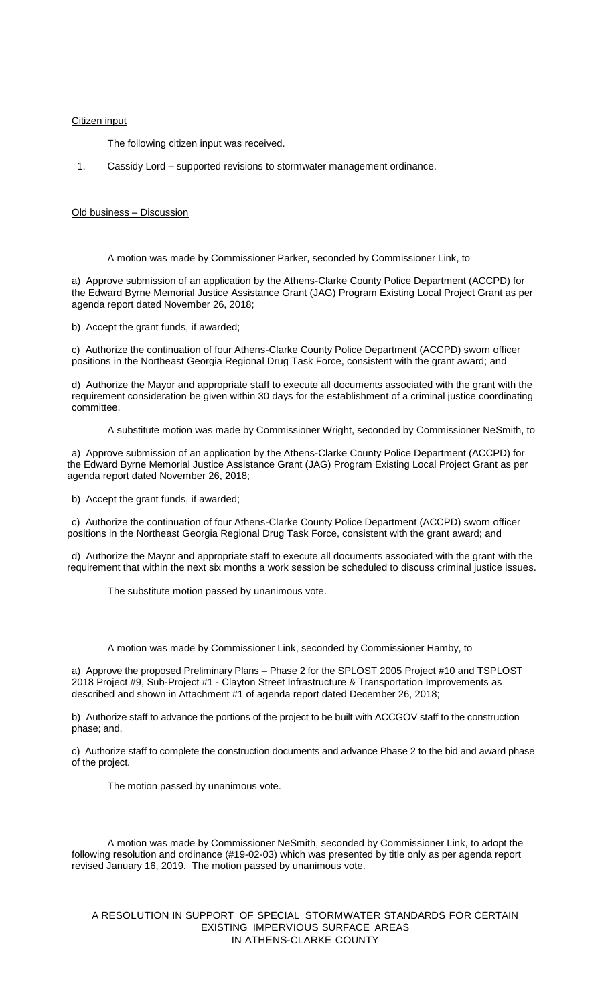### Citizen input

The following citizen input was received.

1. Cassidy Lord – supported revisions to stormwater management ordinance.

Old business – Discussion

A motion was made by Commissioner Parker, seconded by Commissioner Link, to

a) Approve submission of an application by the Athens-Clarke County Police Department (ACCPD) for the Edward Byrne Memorial Justice Assistance Grant (JAG) Program Existing Local Project Grant as per agenda report dated November 26, 2018;

b) Accept the grant funds, if awarded;

c) Authorize the continuation of four Athens-Clarke County Police Department (ACCPD) sworn officer positions in the Northeast Georgia Regional Drug Task Force, consistent with the grant award; and

d) Authorize the Mayor and appropriate staff to execute all documents associated with the grant with the requirement consideration be given within 30 days for the establishment of a criminal justice coordinating committee.

A substitute motion was made by Commissioner Wright, seconded by Commissioner NeSmith, to

a) Approve submission of an application by the Athens-Clarke County Police Department (ACCPD) for the Edward Byrne Memorial Justice Assistance Grant (JAG) Program Existing Local Project Grant as per agenda report dated November 26, 2018;

b) Accept the grant funds, if awarded;

c) Authorize the continuation of four Athens-Clarke County Police Department (ACCPD) sworn officer positions in the Northeast Georgia Regional Drug Task Force, consistent with the grant award; and

d) Authorize the Mayor and appropriate staff to execute all documents associated with the grant with the requirement that within the next six months a work session be scheduled to discuss criminal justice issues.

The substitute motion passed by unanimous vote.

A motion was made by Commissioner Link, seconded by Commissioner Hamby, to

a) Approve the proposed Preliminary Plans – Phase 2 for the SPLOST 2005 Project #10 and TSPLOST 2018 Project #9, Sub-Project #1 - Clayton Street Infrastructure & Transportation Improvements as described and shown in Attachment #1 of agenda report dated December 26, 2018;

b) Authorize staff to advance the portions of the project to be built with ACCGOV staff to the construction phase; and,

c) Authorize staff to complete the construction documents and advance Phase 2 to the bid and award phase of the project.

The motion passed by unanimous vote.

A motion was made by Commissioner NeSmith, seconded by Commissioner Link, to adopt the following resolution and ordinance (#19-02-03) which was presented by title only as per agenda report revised January 16, 2019. The motion passed by unanimous vote.

A RESOLUTION IN SUPPORT OF SPECIAL STORMWATER STANDARDS FOR CERTAIN EXISTING IMPERVIOUS SURFACE AREAS IN ATHENS-CLARKE COUNTY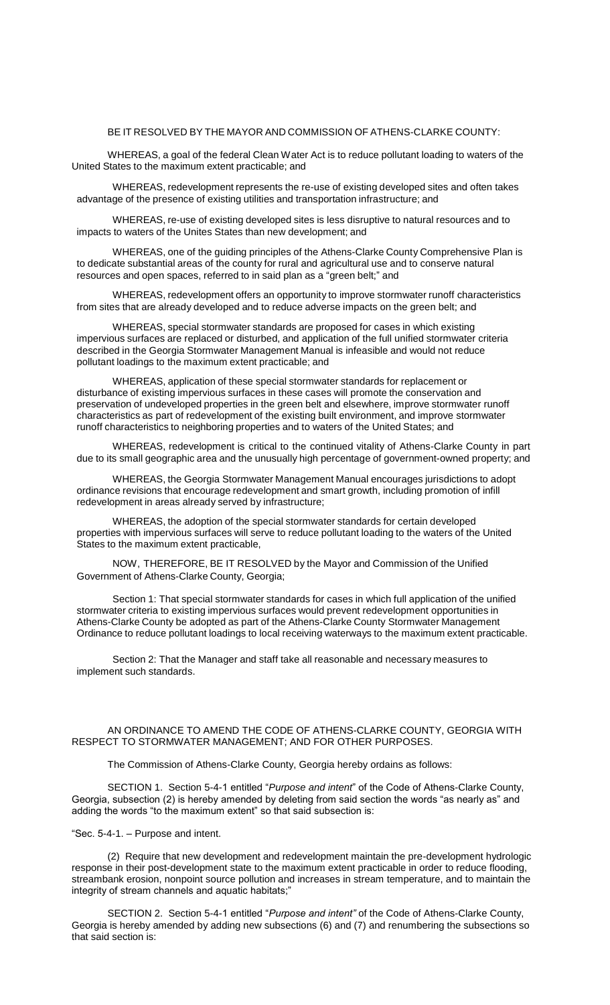### BE IT RESOLVED BY THE MAYOR AND COMMISSION OF ATHENS-CLARKE COUNTY:

WHEREAS, a goal of the federal Clean Water Act is to reduce pollutant loading to waters of the United States to the maximum extent practicable; and

WHEREAS, redevelopment represents the re-use of existing developed sites and often takes advantage of the presence of existing utilities and transportation infrastructure; and

WHEREAS, re-use of existing developed sites is less disruptive to natural resources and to impacts to waters of the Unites States than new development; and

WHEREAS, one of the guiding principles of the Athens-Clarke County Comprehensive Plan is to dedicate substantial areas of the county for rural and agricultural use and to conserve natural resources and open spaces, referred to in said plan as a "green belt;" and

WHEREAS, redevelopment offers an opportunity to improve stormwater runoff characteristics from sites that are already developed and to reduce adverse impacts on the green belt; and

WHEREAS, special stormwater standards are proposed for cases in which existing impervious surfaces are replaced or disturbed, and application of the full unified stormwater criteria described in the Georgia Stormwater Management Manual is infeasible and would not reduce pollutant loadings to the maximum extent practicable; and

WHEREAS, application of these special stormwater standards for replacement or disturbance of existing impervious surfaces in these cases will promote the conservation and preservation of undeveloped properties in the green belt and elsewhere, improve stormwater runoff characteristics as part of redevelopment of the existing built environment, and improve stormwater runoff characteristics to neighboring properties and to waters of the United States; and

WHEREAS, redevelopment is critical to the continued vitality of Athens-Clarke County in part due to its small geographic area and the unusually high percentage of government-owned property; and

WHEREAS, the Georgia Stormwater Management Manual encourages jurisdictions to adopt ordinance revisions that encourage redevelopment and smart growth, including promotion of infill redevelopment in areas already served by infrastructure;

WHEREAS, the adoption of the special stormwater standards for certain developed properties with impervious surfaces will serve to reduce pollutant loading to the waters of the United States to the maximum extent practicable,

NOW, THEREFORE, BE IT RESOLVED by the Mayor and Commission of the Unified Government of Athens-Clarke County, Georgia;

Section 1: That special stormwater standards for cases in which full application of the unified stormwater criteria to existing impervious surfaces would prevent redevelopment opportunities in Athens-Clarke County be adopted as part of the Athens-Clarke County Stormwater Management Ordinance to reduce pollutant loadings to local receiving waterways to the maximum extent practicable.

Section 2: That the Manager and staff take all reasonable and necessary measures to implement such standards.

## AN ORDINANCE TO AMEND THE CODE OF ATHENS-CLARKE COUNTY, GEORGIA WITH RESPECT TO STORMWATER MANAGEMENT; AND FOR OTHER PURPOSES.

The Commission of Athens-Clarke County, Georgia hereby ordains as follows:

SECTION 1. Section 5-4-1 entitled "*Purpose and intent*" of the Code of Athens-Clarke County, Georgia, subsection (2) is hereby amended by deleting from said section the words "as nearly as" and adding the words "to the maximum extent" so that said subsection is:

"Sec. 5-4-1. – Purpose and intent.

(2) Require that new development and redevelopment maintain the pre-development hydrologic response in their post-development state to the maximum extent practicable in order to reduce flooding, streambank erosion, nonpoint source pollution and increases in stream temperature, and to maintain the integrity of stream channels and aquatic habitats;"

SECTION 2. Section 5-4-1 entitled "*Purpose and intent"* of the Code of Athens-Clarke County, Georgia is hereby amended by adding new subsections (6) and (7) and renumbering the subsections so that said section is: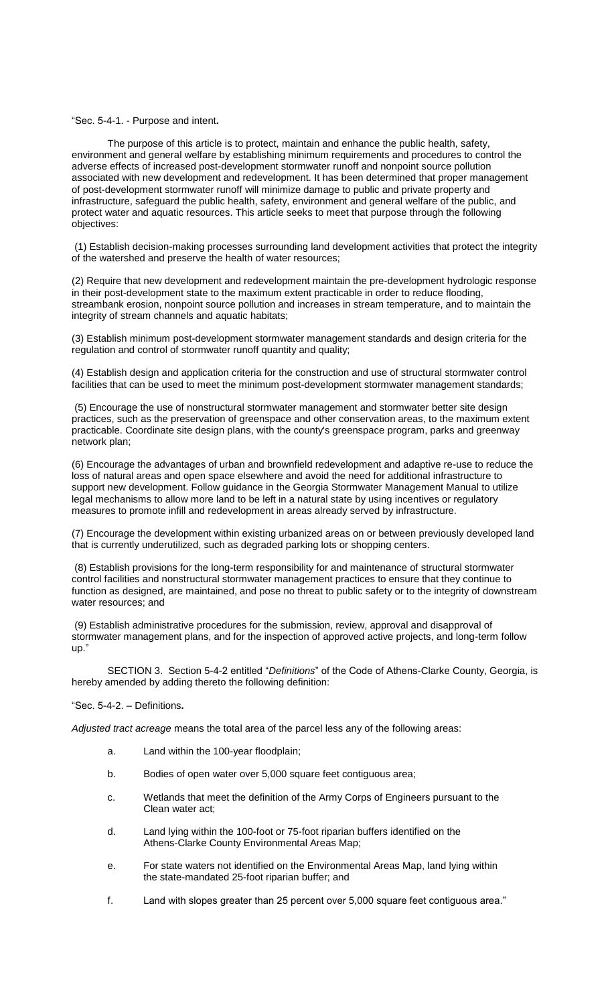"Sec. 5-4-1. - Purpose and intent**.**

The purpose of this article is to protect, maintain and enhance the public health, safety, environment and general welfare by establishing minimum requirements and procedures to control the adverse effects of increased post-development stormwater runoff and nonpoint source pollution associated with new development and redevelopment. It has been determined that proper management of post-development stormwater runoff will minimize damage to public and private property and infrastructure, safeguard the public health, safety, environment and general welfare of the public, and protect water and aquatic resources. This article seeks to meet that purpose through the following objectives:

(1) Establish decision-making processes surrounding land development activities that protect the integrity of the watershed and preserve the health of water resources;

(2) Require that new development and redevelopment maintain the pre-development hydrologic response in their post-development state to the maximum extent practicable in order to reduce flooding, streambank erosion, nonpoint source pollution and increases in stream temperature, and to maintain the integrity of stream channels and aquatic habitats;

(3) Establish minimum post-development stormwater management standards and design criteria for the regulation and control of stormwater runoff quantity and quality;

(4) Establish design and application criteria for the construction and use of structural stormwater control facilities that can be used to meet the minimum post-development stormwater management standards;

(5) Encourage the use of nonstructural stormwater management and stormwater better site design practices, such as the preservation of greenspace and other conservation areas, to the maximum extent practicable. Coordinate site design plans, with the county's greenspace program, parks and greenway network plan;

(6) Encourage the advantages of urban and brownfield redevelopment and adaptive re-use to reduce the loss of natural areas and open space elsewhere and avoid the need for additional infrastructure to support new development. Follow guidance in the Georgia Stormwater Management Manual to utilize legal mechanisms to allow more land to be left in a natural state by using incentives or regulatory measures to promote infill and redevelopment in areas already served by infrastructure.

(7) Encourage the development within existing urbanized areas on or between previously developed land that is currently underutilized, such as degraded parking lots or shopping centers.

(8) Establish provisions for the long-term responsibility for and maintenance of structural stormwater control facilities and nonstructural stormwater management practices to ensure that they continue to function as designed, are maintained, and pose no threat to public safety or to the integrity of downstream water resources; and

(9) Establish administrative procedures for the submission, review, approval and disapproval of stormwater management plans, and for the inspection of approved active projects, and long-term follow up."

SECTION 3. Section 5-4-2 entitled "*Definitions*" of the Code of Athens-Clarke County, Georgia, is hereby amended by adding thereto the following definition:

"Sec. 5-4-2. – Definitions**.**

*Adjusted tract acreage* means the total area of the parcel less any of the following areas:

- a. Land within the 100-year floodplain;
- b. Bodies of open water over 5,000 square feet contiguous area;
- c. Wetlands that meet the definition of the Army Corps of Engineers pursuant to the Clean water act;
- d. Land lying within the 100-foot or 75-foot riparian buffers identified on the Athens-Clarke County Environmental Areas Map;
- e. For state waters not identified on the Environmental Areas Map, land lying within the state-mandated 25-foot riparian buffer; and
- f. Land with slopes greater than 25 percent over 5,000 square feet contiguous area."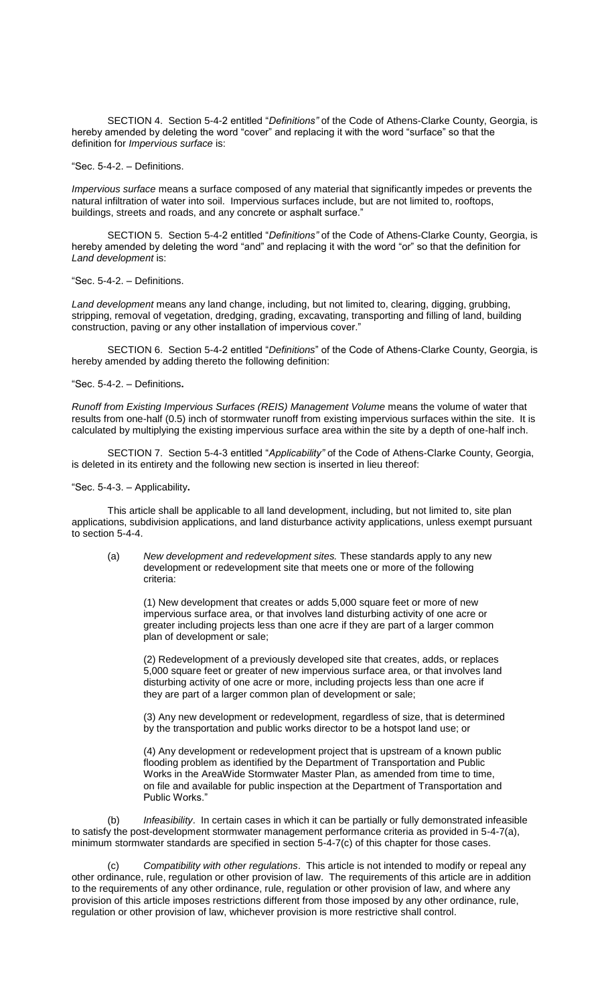SECTION 4. Section 5-4-2 entitled "*Definitions"* of the Code of Athens-Clarke County, Georgia, is hereby amended by deleting the word "cover" and replacing it with the word "surface" so that the definition for *Impervious surface* is:

#### "Sec. 5-4-2. – Definitions.

*Impervious surface* means a surface composed of any material that significantly impedes or prevents the natural infiltration of water into soil. Impervious surfaces include, but are not limited to, rooftops, buildings, streets and roads, and any concrete or asphalt surface."

SECTION 5. Section 5-4-2 entitled "*Definitions"* of the Code of Athens-Clarke County, Georgia, is hereby amended by deleting the word "and" and replacing it with the word "or" so that the definition for *Land development* is:

### "Sec. 5-4-2. – Definitions.

*Land development* means any land change, including, but not limited to, clearing, digging, grubbing, stripping, removal of vegetation, dredging, grading, excavating, transporting and filling of land, building construction, paving or any other installation of impervious cover."

SECTION 6. Section 5-4-2 entitled "*Definitions*" of the Code of Athens-Clarke County, Georgia, is hereby amended by adding thereto the following definition:

#### "Sec. 5-4-2. – Definitions**.**

*Runoff from Existing Impervious Surfaces (REIS) Management Volume* means the volume of water that results from one-half (0.5) inch of stormwater runoff from existing impervious surfaces within the site. It is calculated by multiplying the existing impervious surface area within the site by a depth of one-half inch.

SECTION 7. Section 5-4-3 entitled "*Applicability"* of the Code of Athens-Clarke County, Georgia, is deleted in its entirety and the following new section is inserted in lieu thereof:

#### "Sec. 5-4-3. – Applicability**.**

This article shall be applicable to all land development, including, but not limited to, site plan applications, subdivision applications, and land disturbance activity applications, unless exempt pursuant to section 5-4-4.

(a) *New development and redevelopment sites.* These standards apply to any new development or redevelopment site that meets one or more of the following criteria:

(1) New development that creates or adds 5,000 square feet or more of new impervious surface area, or that involves land disturbing activity of one acre or greater including projects less than one acre if they are part of a larger common plan of development or sale;

(2) Redevelopment of a previously developed site that creates, adds, or replaces 5,000 square feet or greater of new impervious surface area, or that involves land disturbing activity of one acre or more, including projects less than one acre if they are part of a larger common plan of development or sale;

(3) Any new development or redevelopment, regardless of size, that is determined by the transportation and public works director to be a hotspot land use; or

(4) Any development or redevelopment project that is upstream of a known public flooding problem as identified by the Department of Transportation and Public Works in the AreaWide Stormwater Master Plan, as amended from time to time, on file and available for public inspection at the Department of Transportation and Public Works."

(b) *Infeasibility*. In certain cases in which it can be partially or fully demonstrated infeasible to satisfy the post-development stormwater management performance criteria as provided in 5-4-7(a), minimum stormwater standards are specified in section 5-4-7(c) of this chapter for those cases.

(c) *Compatibility with other regulations*. This article is not intended to modify or repeal any other ordinance, rule, regulation or other provision of law. The requirements of this article are in addition to the requirements of any other ordinance, rule, regulation or other provision of law, and where any provision of this article imposes restrictions different from those imposed by any other ordinance, rule, regulation or other provision of law, whichever provision is more restrictive shall control.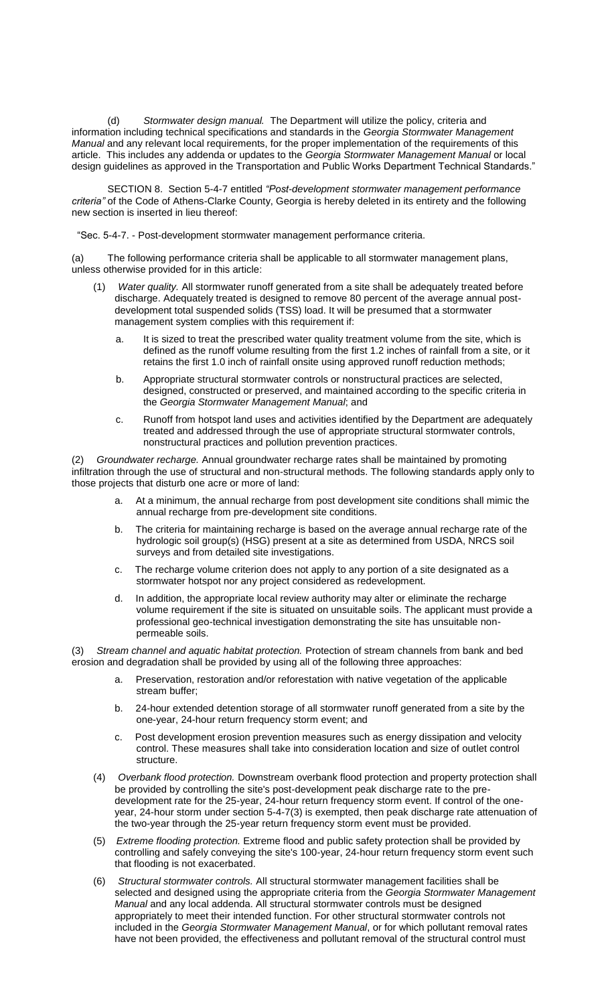(d) *Stormwater design manual.* The Department will utilize the policy, criteria and information including technical specifications and standards in the *Georgia Stormwater Management Manual* and any relevant local requirements, for the proper implementation of the requirements of this article. This includes any addenda or updates to the *Georgia Stormwater Management Manual* or local design guidelines as approved in the Transportation and Public Works Department Technical Standards."

SECTION 8. Section 5-4-7 entitled *"Post-development stormwater management performance criteria"* of the Code of Athens-Clarke County, Georgia is hereby deleted in its entirety and the following new section is inserted in lieu thereof:

"Sec. 5-4-7. - Post-development stormwater management performance criteria.

(a) The following performance criteria shall be applicable to all stormwater management plans, unless otherwise provided for in this article:

- Water quality. All stormwater runoff generated from a site shall be adequately treated before discharge. Adequately treated is designed to remove 80 percent of the average annual postdevelopment total suspended solids (TSS) load. It will be presumed that a stormwater management system complies with this requirement if:
	- a. It is sized to treat the prescribed water quality treatment volume from the site, which is defined as the runoff volume resulting from the first 1.2 inches of rainfall from a site, or it retains the first 1.0 inch of rainfall onsite using approved runoff reduction methods;
	- b. Appropriate structural stormwater controls or nonstructural practices are selected, designed, constructed or preserved, and maintained according to the specific criteria in the *Georgia Stormwater Management Manual*; and
	- c. Runoff from hotspot land uses and activities identified by the Department are adequately treated and addressed through the use of appropriate structural stormwater controls, nonstructural practices and pollution prevention practices.

(2) *Groundwater recharge.* Annual groundwater recharge rates shall be maintained by promoting infiltration through the use of structural and non-structural methods. The following standards apply only to those projects that disturb one acre or more of land:

- a. At a minimum, the annual recharge from post development site conditions shall mimic the annual recharge from pre-development site conditions.
- b. The criteria for maintaining recharge is based on the average annual recharge rate of the hydrologic soil group(s) (HSG) present at a site as determined from USDA, NRCS soil surveys and from detailed site investigations.
- c. The recharge volume criterion does not apply to any portion of a site designated as a stormwater hotspot nor any project considered as redevelopment.
- d. In addition, the appropriate local review authority may alter or eliminate the recharge volume requirement if the site is situated on unsuitable soils. The applicant must provide a professional geo-technical investigation demonstrating the site has unsuitable nonpermeable soils.

(3) *Stream channel and aquatic habitat protection.* Protection of stream channels from bank and bed erosion and degradation shall be provided by using all of the following three approaches:

- a. Preservation, restoration and/or reforestation with native vegetation of the applicable stream buffer;
- b. 24-hour extended detention storage of all stormwater runoff generated from a site by the one-year, 24-hour return frequency storm event; and
- c. Post development erosion prevention measures such as energy dissipation and velocity control. These measures shall take into consideration location and size of outlet control structure.
- (4) *Overbank flood protection.* Downstream overbank flood protection and property protection shall be provided by controlling the site's post-development peak discharge rate to the predevelopment rate for the 25-year, 24-hour return frequency storm event. If control of the oneyear, 24-hour storm under section 5-4-7(3) is exempted, then peak discharge rate attenuation of the two-year through the 25-year return frequency storm event must be provided.
- (5) *Extreme flooding protection.* Extreme flood and public safety protection shall be provided by controlling and safely conveying the site's 100-year, 24-hour return frequency storm event such that flooding is not exacerbated.
- (6) *Structural stormwater controls.* All structural stormwater management facilities shall be selected and designed using the appropriate criteria from the *Georgia Stormwater Management Manual* and any local addenda. All structural stormwater controls must be designed appropriately to meet their intended function. For other structural stormwater controls not included in the *Georgia Stormwater Management Manual*, or for which pollutant removal rates have not been provided, the effectiveness and pollutant removal of the structural control must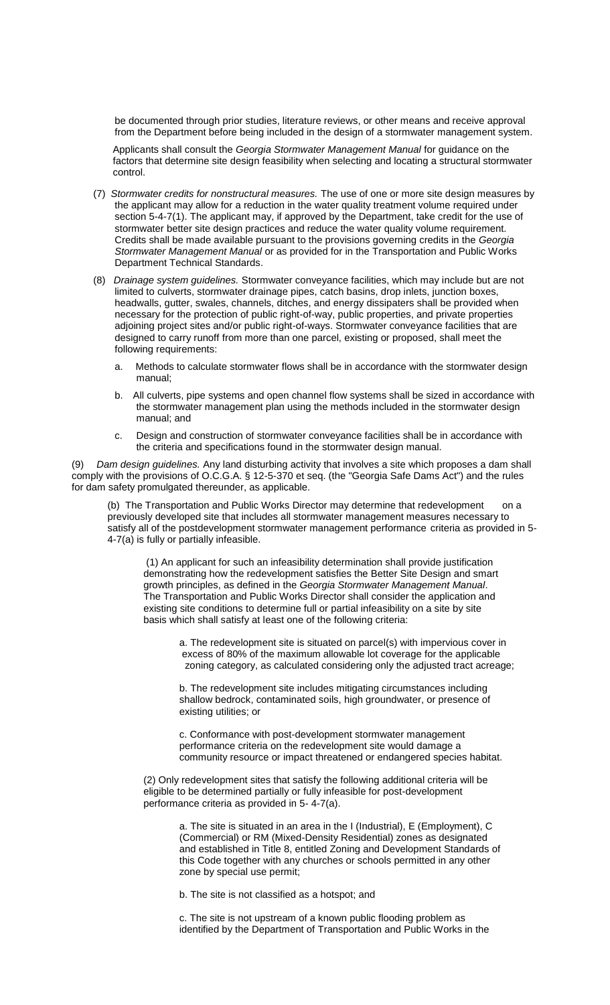be documented through prior studies, literature reviews, or other means and receive approval from the Department before being included in the design of a stormwater management system.

Applicants shall consult the *Georgia Stormwater Management Manual* for guidance on the factors that determine site design feasibility when selecting and locating a structural stormwater control.

- (7) *Stormwater credits for nonstructural measures.* The use of one or more site design measures by the applicant may allow for a reduction in the water quality treatment volume required under section 5-4-7(1). The applicant may, if approved by the Department, take credit for the use of stormwater better site design practices and reduce the water quality volume requirement. Credits shall be made available pursuant to the provisions governing credits in the *Georgia Stormwater Management Manual* or as provided for in the Transportation and Public Works Department Technical Standards.
- (8) *Drainage system guidelines.* Stormwater conveyance facilities, which may include but are not limited to culverts, stormwater drainage pipes, catch basins, drop inlets, junction boxes, headwalls, gutter, swales, channels, ditches, and energy dissipaters shall be provided when necessary for the protection of public right-of-way, public properties, and private properties adjoining project sites and/or public right-of-ways. Stormwater conveyance facilities that are designed to carry runoff from more than one parcel, existing or proposed, shall meet the following requirements:
	- a. Methods to calculate stormwater flows shall be in accordance with the stormwater design manual;
	- b. All culverts, pipe systems and open channel flow systems shall be sized in accordance with the stormwater management plan using the methods included in the stormwater design manual; and
	- c. Design and construction of stormwater conveyance facilities shall be in accordance with the criteria and specifications found in the stormwater design manual.

(9) *Dam design guidelines.* Any land disturbing activity that involves a site which proposes a dam shall comply with the provisions of O.C.G.A. § 12-5-370 et seq. (the "Georgia Safe Dams Act") and the rules for dam safety promulgated thereunder, as applicable.

(b) The Transportation and Public Works Director may determine that redevelopment on a previously developed site that includes all stormwater management measures necessary to satisfy all of the postdevelopment stormwater management performance criteria as provided in 5- 4-7(a) is fully or partially infeasible.

(1) An applicant for such an infeasibility determination shall provide justification demonstrating how the redevelopment satisfies the Better Site Design and smart growth principles, as defined in the *Georgia Stormwater Management Manual*. The Transportation and Public Works Director shall consider the application and existing site conditions to determine full or partial infeasibility on a site by site basis which shall satisfy at least one of the following criteria:

a. The redevelopment site is situated on parcel(s) with impervious cover in excess of 80% of the maximum allowable lot coverage for the applicable zoning category, as calculated considering only the adjusted tract acreage;

b. The redevelopment site includes mitigating circumstances including shallow bedrock, contaminated soils, high groundwater, or presence of existing utilities; or

c. Conformance with post-development stormwater management performance criteria on the redevelopment site would damage a community resource or impact threatened or endangered species habitat.

(2) Only redevelopment sites that satisfy the following additional criteria will be eligible to be determined partially or fully infeasible for post-development performance criteria as provided in 5- 4-7(a).

> a. The site is situated in an area in the I (Industrial), E (Employment), C (Commercial) or RM (Mixed-Density Residential) zones as designated and established in Title 8, entitled Zoning and Development Standards of this Code together with any churches or schools permitted in any other zone by special use permit;

b. The site is not classified as a hotspot; and

c. The site is not upstream of a known public flooding problem as identified by the Department of Transportation and Public Works in the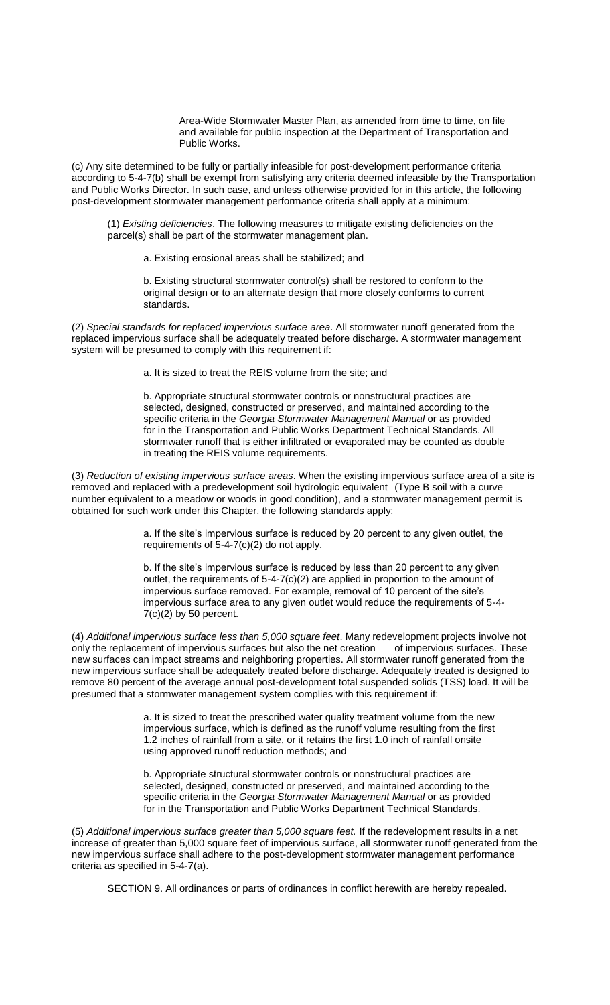Area-Wide Stormwater Master Plan, as amended from time to time, on file and available for public inspection at the Department of Transportation and Public Works.

(c) Any site determined to be fully or partially infeasible for post-development performance criteria according to 5-4-7(b) shall be exempt from satisfying any criteria deemed infeasible by the Transportation and Public Works Director. In such case, and unless otherwise provided for in this article, the following post-development stormwater management performance criteria shall apply at a minimum:

(1) *Existing deficiencies*. The following measures to mitigate existing deficiencies on the parcel(s) shall be part of the stormwater management plan.

a. Existing erosional areas shall be stabilized; and

b. Existing structural stormwater control(s) shall be restored to conform to the original design or to an alternate design that more closely conforms to current standards.

(2) *Special standards for replaced impervious surface area*. All stormwater runoff generated from the replaced impervious surface shall be adequately treated before discharge. A stormwater management system will be presumed to comply with this requirement if:

a. It is sized to treat the REIS volume from the site; and

b. Appropriate structural stormwater controls or nonstructural practices are selected, designed, constructed or preserved, and maintained according to the specific criteria in the *Georgia Stormwater Management Manual* or as provided for in the Transportation and Public Works Department Technical Standards. All stormwater runoff that is either infiltrated or evaporated may be counted as double in treating the REIS volume requirements.

(3) *Reduction of existing impervious surface areas*. When the existing impervious surface area of a site is removed and replaced with a predevelopment soil hydrologic equivalent (Type B soil with a curve number equivalent to a meadow or woods in good condition), and a stormwater management permit is obtained for such work under this Chapter, the following standards apply:

> a. If the site's impervious surface is reduced by 20 percent to any given outlet, the requirements of 5-4-7(c)(2) do not apply.

> b. If the site's impervious surface is reduced by less than 20 percent to any given outlet, the requirements of 5-4-7(c)(2) are applied in proportion to the amount of impervious surface removed. For example, removal of 10 percent of the site's impervious surface area to any given outlet would reduce the requirements of 5-4-  $7(c)(2)$  by 50 percent.

(4) *Additional impervious surface less than 5,000 square feet*. Many redevelopment projects involve not only the replacement of impervious surfaces but also the net creation new surfaces can impact streams and neighboring properties. All stormwater runoff generated from the new impervious surface shall be adequately treated before discharge. Adequately treated is designed to remove 80 percent of the average annual post-development total suspended solids (TSS) load. It will be presumed that a stormwater management system complies with this requirement if:

> a. It is sized to treat the prescribed water quality treatment volume from the new impervious surface, which is defined as the runoff volume resulting from the first 1.2 inches of rainfall from a site, or it retains the first 1.0 inch of rainfall onsite using approved runoff reduction methods; and

b. Appropriate structural stormwater controls or nonstructural practices are selected, designed, constructed or preserved, and maintained according to the specific criteria in the *Georgia Stormwater Management Manual* or as provided for in the Transportation and Public Works Department Technical Standards.

(5) *Additional impervious surface greater than 5,000 square feet.* If the redevelopment results in a net increase of greater than 5,000 square feet of impervious surface, all stormwater runoff generated from the new impervious surface shall adhere to the post-development stormwater management performance criteria as specified in 5-4-7(a).

SECTION 9. All ordinances or parts of ordinances in conflict herewith are hereby repealed.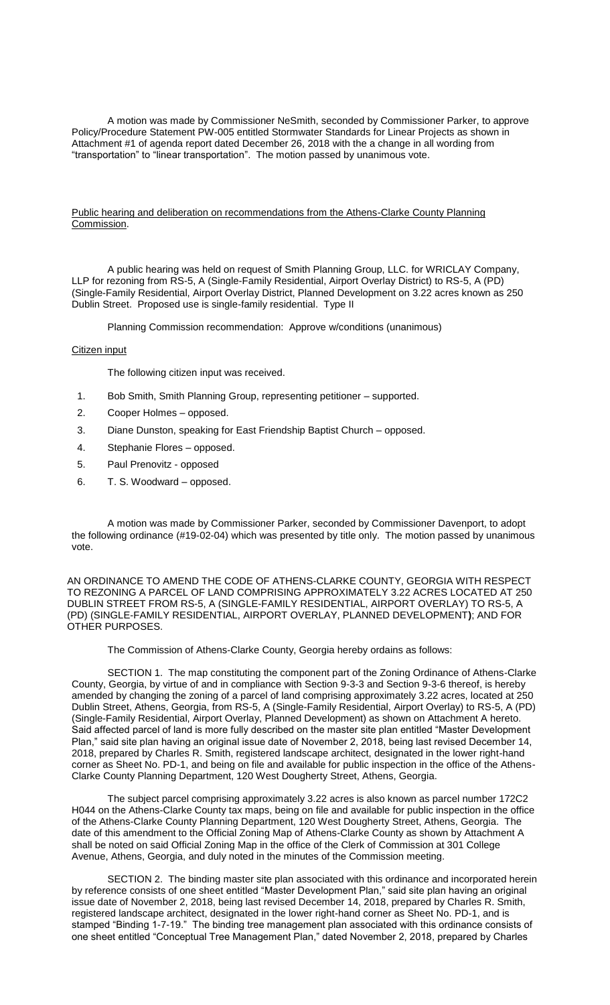A motion was made by Commissioner NeSmith, seconded by Commissioner Parker, to approve Policy/Procedure Statement PW-005 entitled Stormwater Standards for Linear Projects as shown in Attachment #1 of agenda report dated December 26, 2018 with the a change in all wording from "transportation" to "linear transportation". The motion passed by unanimous vote.

Public hearing and deliberation on recommendations from the Athens-Clarke County Planning Commission.

A public hearing was held on request of Smith Planning Group, LLC. for WRICLAY Company, LLP for rezoning from RS-5, A (Single-Family Residential, Airport Overlay District) to RS-5, A (PD) (Single-Family Residential, Airport Overlay District, Planned Development on 3.22 acres known as 250 Dublin Street. Proposed use is single-family residential. Type II

Planning Commission recommendation: Approve w/conditions (unanimous)

### Citizen input

The following citizen input was received.

- 1. Bob Smith, Smith Planning Group, representing petitioner supported.
- 2. Cooper Holmes opposed.
- 3. Diane Dunston, speaking for East Friendship Baptist Church opposed.
- 4. Stephanie Flores opposed.
- 5. Paul Prenovitz opposed
- 6. T. S. Woodward opposed.

A motion was made by Commissioner Parker, seconded by Commissioner Davenport, to adopt the following ordinance (#19-02-04) which was presented by title only. The motion passed by unanimous vote.

AN ORDINANCE TO AMEND THE CODE OF ATHENS-CLARKE COUNTY, GEORGIA WITH RESPECT TO REZONING A PARCEL OF LAND COMPRISING APPROXIMATELY 3.22 ACRES LOCATED AT 250 DUBLIN STREET FROM RS-5, A (SINGLE-FAMILY RESIDENTIAL, AIRPORT OVERLAY) TO RS-5, A (PD) (SINGLE-FAMILY RESIDENTIAL, AIRPORT OVERLAY, PLANNED DEVELOPMENT**)**; AND FOR OTHER PURPOSES.

The Commission of Athens-Clarke County, Georgia hereby ordains as follows:

SECTION 1. The map constituting the component part of the Zoning Ordinance of Athens-Clarke County, Georgia, by virtue of and in compliance with Section 9-3-3 and Section 9-3-6 thereof, is hereby amended by changing the zoning of a parcel of land comprising approximately 3.22 acres, located at 250 Dublin Street, Athens, Georgia, from RS-5, A (Single-Family Residential, Airport Overlay) to RS-5, A (PD) (Single-Family Residential, Airport Overlay, Planned Development) as shown on Attachment A hereto. Said affected parcel of land is more fully described on the master site plan entitled "Master Development Plan," said site plan having an original issue date of November 2, 2018, being last revised December 14, 2018, prepared by Charles R. Smith, registered landscape architect, designated in the lower right-hand corner as Sheet No. PD-1, and being on file and available for public inspection in the office of the Athens-Clarke County Planning Department, 120 West Dougherty Street, Athens, Georgia.

The subject parcel comprising approximately 3.22 acres is also known as parcel number 172C2 H044 on the Athens-Clarke County tax maps, being on file and available for public inspection in the office of the Athens-Clarke County Planning Department, 120 West Dougherty Street, Athens, Georgia. The date of this amendment to the Official Zoning Map of Athens-Clarke County as shown by Attachment A shall be noted on said Official Zoning Map in the office of the Clerk of Commission at 301 College Avenue, Athens, Georgia, and duly noted in the minutes of the Commission meeting.

SECTION 2. The binding master site plan associated with this ordinance and incorporated herein by reference consists of one sheet entitled "Master Development Plan," said site plan having an original issue date of November 2, 2018, being last revised December 14, 2018, prepared by Charles R. Smith, registered landscape architect, designated in the lower right-hand corner as Sheet No. PD-1, and is stamped "Binding 1-7-19." The binding tree management plan associated with this ordinance consists of one sheet entitled "Conceptual Tree Management Plan," dated November 2, 2018, prepared by Charles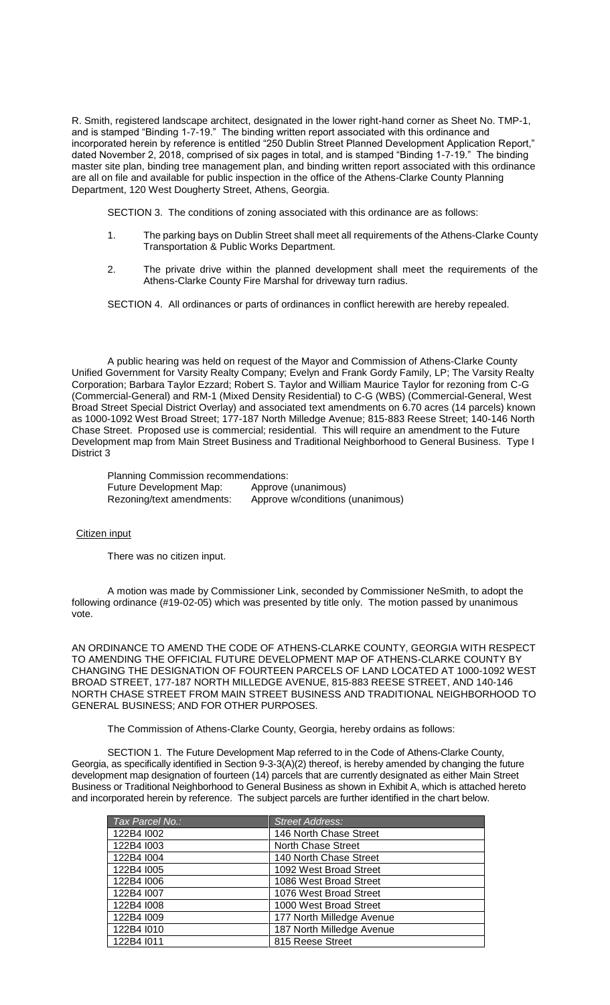R. Smith, registered landscape architect, designated in the lower right-hand corner as Sheet No. TMP-1, and is stamped "Binding 1-7-19." The binding written report associated with this ordinance and incorporated herein by reference is entitled "250 Dublin Street Planned Development Application Report," dated November 2, 2018, comprised of six pages in total, and is stamped "Binding 1-7-19." The binding master site plan, binding tree management plan, and binding written report associated with this ordinance are all on file and available for public inspection in the office of the Athens-Clarke County Planning Department, 120 West Dougherty Street, Athens, Georgia.

SECTION 3. The conditions of zoning associated with this ordinance are as follows:

- 1. The parking bays on Dublin Street shall meet all requirements of the Athens-Clarke County Transportation & Public Works Department.
- 2. The private drive within the planned development shall meet the requirements of the Athens-Clarke County Fire Marshal for driveway turn radius.

SECTION 4. All ordinances or parts of ordinances in conflict herewith are hereby repealed.

A public hearing was held on request of the Mayor and Commission of Athens-Clarke County Unified Government for Varsity Realty Company; Evelyn and Frank Gordy Family, LP; The Varsity Realty Corporation; Barbara Taylor Ezzard; Robert S. Taylor and William Maurice Taylor for rezoning from C-G (Commercial-General) and RM-1 (Mixed Density Residential) to C-G (WBS) (Commercial-General, West Broad Street Special District Overlay) and associated text amendments on 6.70 acres (14 parcels) known as 1000-1092 West Broad Street; 177-187 North Milledge Avenue; 815-883 Reese Street; 140-146 North Chase Street. Proposed use is commercial; residential. This will require an amendment to the Future Development map from Main Street Business and Traditional Neighborhood to General Business. Type I District 3

Planning Commission recommendations: Future Development Map: Approve (unanimous)<br>Rezoning/text amendments: Approve w/conditions Approve w/conditions (unanimous)

### Citizen input

There was no citizen input.

A motion was made by Commissioner Link, seconded by Commissioner NeSmith, to adopt the following ordinance (#19-02-05) which was presented by title only. The motion passed by unanimous vote.

AN ORDINANCE TO AMEND THE CODE OF ATHENS-CLARKE COUNTY, GEORGIA WITH RESPECT TO AMENDING THE OFFICIAL FUTURE DEVELOPMENT MAP OF ATHENS-CLARKE COUNTY BY CHANGING THE DESIGNATION OF FOURTEEN PARCELS OF LAND LOCATED AT 1000-1092 WEST BROAD STREET, 177-187 NORTH MILLEDGE AVENUE, 815-883 REESE STREET, AND 140-146 NORTH CHASE STREET FROM MAIN STREET BUSINESS AND TRADITIONAL NEIGHBORHOOD TO GENERAL BUSINESS; AND FOR OTHER PURPOSES.

The Commission of Athens-Clarke County, Georgia, hereby ordains as follows:

SECTION 1. The Future Development Map referred to in the Code of Athens-Clarke County, Georgia, as specifically identified in Section 9-3-3(A)(2) thereof, is hereby amended by changing the future development map designation of fourteen (14) parcels that are currently designated as either Main Street Business or Traditional Neighborhood to General Business as shown in Exhibit A, which is attached hereto and incorporated herein by reference. The subject parcels are further identified in the chart below.

| Tax Parcel No.: | <b>Street Address:</b>    |
|-----------------|---------------------------|
| 122B4 1002      | 146 North Chase Street    |
| 122B4 1003      | North Chase Street        |
| 122B4 I004      | 140 North Chase Street    |
| 122B4 I005      | 1092 West Broad Street    |
| 122B4 1006      | 1086 West Broad Street    |
| 122B4 1007      | 1076 West Broad Street    |
| 122B4 1008      | 1000 West Broad Street    |
| 122B4 I009      | 177 North Milledge Avenue |
| 122B4 1010      | 187 North Milledge Avenue |
| 122B4 I011      | 815 Reese Street          |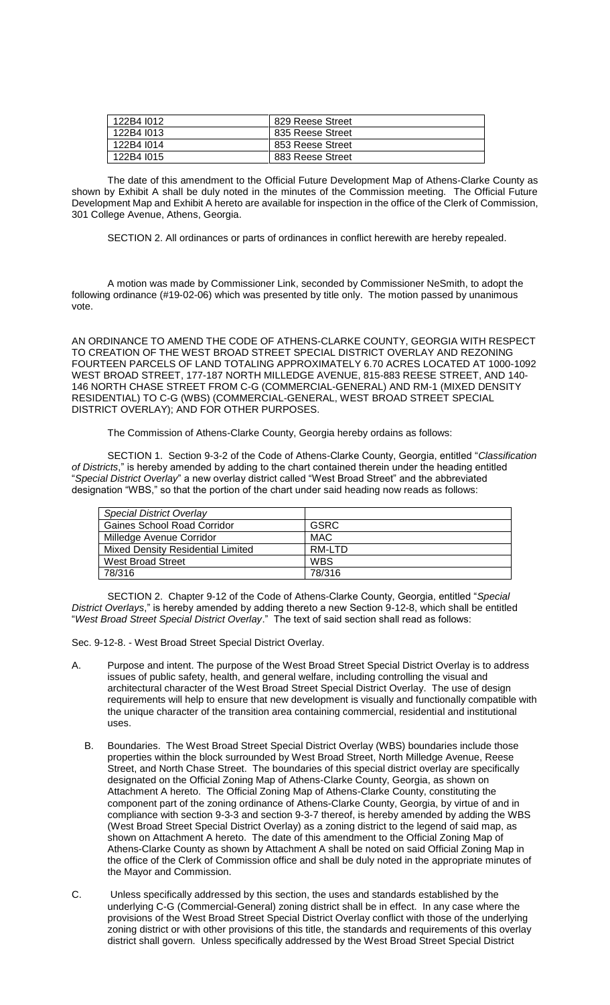| 122B4 1012 | 829 Reese Street |
|------------|------------------|
| 122B4 1013 | 835 Reese Street |
| 122B4 I014 | 853 Reese Street |
| 122B4 1015 | 883 Reese Street |

The date of this amendment to the Official Future Development Map of Athens-Clarke County as shown by Exhibit A shall be duly noted in the minutes of the Commission meeting. The Official Future Development Map and Exhibit A hereto are available for inspection in the office of the Clerk of Commission, 301 College Avenue, Athens, Georgia.

SECTION 2. All ordinances or parts of ordinances in conflict herewith are hereby repealed.

A motion was made by Commissioner Link, seconded by Commissioner NeSmith, to adopt the following ordinance (#19-02-06) which was presented by title only. The motion passed by unanimous vote.

AN ORDINANCE TO AMEND THE CODE OF ATHENS-CLARKE COUNTY, GEORGIA WITH RESPECT TO CREATION OF THE WEST BROAD STREET SPECIAL DISTRICT OVERLAY AND REZONING FOURTEEN PARCELS OF LAND TOTALING APPROXIMATELY 6.70 ACRES LOCATED AT 1000-1092 WEST BROAD STREET, 177-187 NORTH MILLEDGE AVENUE, 815-883 REESE STREET, AND 140- 146 NORTH CHASE STREET FROM C-G (COMMERCIAL-GENERAL) AND RM-1 (MIXED DENSITY RESIDENTIAL) TO C-G (WBS) (COMMERCIAL-GENERAL, WEST BROAD STREET SPECIAL DISTRICT OVERLAY); AND FOR OTHER PURPOSES.

The Commission of Athens-Clarke County, Georgia hereby ordains as follows:

SECTION 1. Section 9-3-2 of the Code of Athens-Clarke County, Georgia, entitled "*Classification of Districts*," is hereby amended by adding to the chart contained therein under the heading entitled "*Special District Overlay*" a new overlay district called "West Broad Street" and the abbreviated designation "WBS," so that the portion of the chart under said heading now reads as follows:

| <b>Special District Overlay</b>          |             |
|------------------------------------------|-------------|
| <b>Gaines School Road Corridor</b>       | <b>GSRC</b> |
| Milledge Avenue Corridor                 | <b>MAC</b>  |
| <b>Mixed Density Residential Limited</b> | RM-LTD      |
| <b>West Broad Street</b>                 | <b>WBS</b>  |
| 78/316                                   | 78/316      |

SECTION 2. Chapter 9-12 of the Code of Athens-Clarke County, Georgia, entitled "*Special District Overlays*," is hereby amended by adding thereto a new Section 9-12-8, which shall be entitled "*West Broad Street Special District Overlay*." The text of said section shall read as follows:

Sec. 9-12-8. - West Broad Street Special District Overlay.

- A. Purpose and intent. The purpose of the West Broad Street Special District Overlay is to address issues of public safety, health, and general welfare, including controlling the visual and architectural character of the West Broad Street Special District Overlay. The use of design requirements will help to ensure that new development is visually and functionally compatible with the unique character of the transition area containing commercial, residential and institutional uses.
	- B. Boundaries.The West Broad Street Special District Overlay (WBS) boundaries include those properties within the block surrounded by West Broad Street, North Milledge Avenue, Reese Street, and North Chase Street. The boundaries of this special district overlay are specifically designated on the Official Zoning Map of Athens-Clarke County, Georgia, as shown on Attachment A hereto. The Official Zoning Map of Athens-Clarke County, constituting the component part of the zoning ordinance of Athens-Clarke County, Georgia, by virtue of and in compliance with section 9-3-3 and section 9-3-7 thereof, is hereby amended by adding the WBS (West Broad Street Special District Overlay) as a zoning district to the legend of said map, as shown on Attachment A hereto. The date of this amendment to the Official Zoning Map of Athens-Clarke County as shown by Attachment A shall be noted on said Official Zoning Map in the office of the Clerk of Commission office and shall be duly noted in the appropriate minutes of the Mayor and Commission.
- C. Unless specifically addressed by this section, the uses and standards established by the underlying C-G (Commercial-General) zoning district shall be in effect. In any case where the provisions of the West Broad Street Special District Overlay conflict with those of the underlying zoning district or with other provisions of this title, the standards and requirements of this overlay district shall govern. Unless specifically addressed by the West Broad Street Special District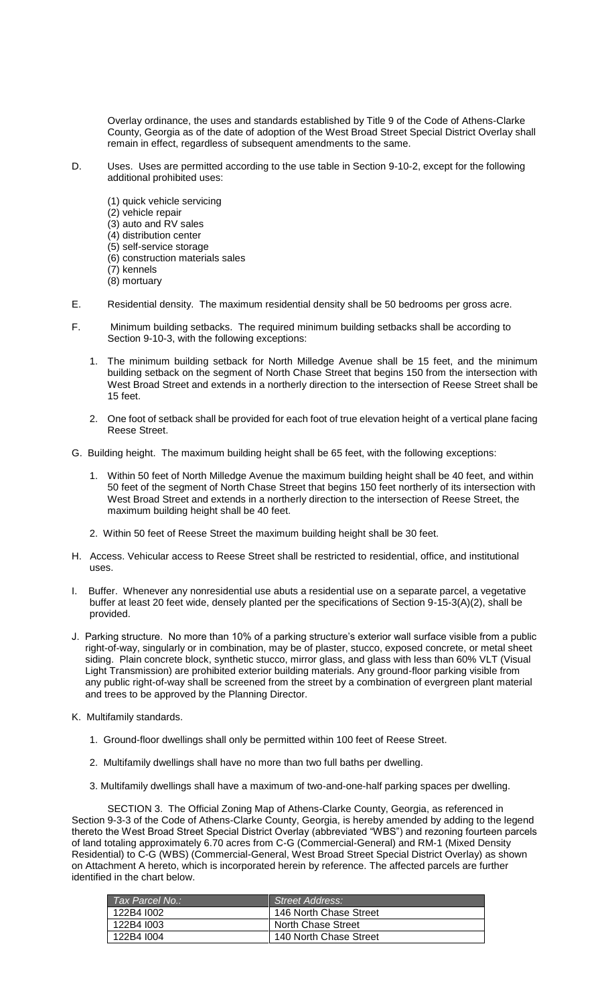Overlay ordinance, the uses and standards established by Title 9 of the Code of Athens-Clarke County, Georgia as of the date of adoption of the West Broad Street Special District Overlay shall remain in effect, regardless of subsequent amendments to the same.

- D. Uses. Uses are permitted according to the use table in Section 9-10-2, except for the following additional prohibited uses:
	- (1) quick vehicle servicing (2) vehicle repair (3) auto and RV sales (4) distribution center (5) self-service storage (6) construction materials sales (7) kennels (8) mortuary
- E. Residential density. The maximum residential density shall be 50 bedrooms per gross acre.
- F. Minimum building setbacks. The required minimum building setbacks shall be according to Section 9-10-3, with the following exceptions:
	- 1. The minimum building setback for North Milledge Avenue shall be 15 feet, and the minimum building setback on the segment of North Chase Street that begins 150 from the intersection with West Broad Street and extends in a northerly direction to the intersection of Reese Street shall be 15 feet.
	- 2. One foot of setback shall be provided for each foot of true elevation height of a vertical plane facing Reese Street.
- G. Building height. The maximum building height shall be 65 feet, with the following exceptions:
	- 1. Within 50 feet of North Milledge Avenue the maximum building height shall be 40 feet, and within 50 feet of the segment of North Chase Street that begins 150 feet northerly of its intersection with West Broad Street and extends in a northerly direction to the intersection of Reese Street, the maximum building height shall be 40 feet.
	- 2. Within 50 feet of Reese Street the maximum building height shall be 30 feet.
- H. Access. Vehicular access to Reese Street shall be restricted to residential, office, and institutional uses.
- I. Buffer. Whenever any nonresidential use abuts a residential use on a separate parcel, a vegetative buffer at least 20 feet wide, densely planted per the specifications of Section 9-15-3(A)(2), shall be provided.
- J. Parking structure. No more than 10% of a parking structure's exterior wall surface visible from a public right-of-way, singularly or in combination, may be of plaster, stucco, exposed concrete, or metal sheet siding. Plain concrete block, synthetic stucco, mirror glass, and glass with less than 60% VLT (Visual Light Transmission) are prohibited exterior building materials. Any ground-floor parking visible from any public right-of-way shall be screened from the street by a combination of evergreen plant material and trees to be approved by the Planning Director.
- K. Multifamily standards.
	- 1. Ground-floor dwellings shall only be permitted within 100 feet of Reese Street.
	- 2. Multifamily dwellings shall have no more than two full baths per dwelling.
	- 3. Multifamily dwellings shall have a maximum of two-and-one-half parking spaces per dwelling.

SECTION 3. The Official Zoning Map of Athens-Clarke County, Georgia, as referenced in Section 9-3-3 of the Code of Athens-Clarke County, Georgia, is hereby amended by adding to the legend thereto the West Broad Street Special District Overlay (abbreviated "WBS") and rezoning fourteen parcels of land totaling approximately 6.70 acres from C-G (Commercial-General) and RM-1 (Mixed Density Residential) to C-G (WBS) (Commercial-General, West Broad Street Special District Overlay) as shown on Attachment A hereto, which is incorporated herein by reference. The affected parcels are further identified in the chart below.

| Tax Parcel No.: | Street Address:        |
|-----------------|------------------------|
| 122B4 I002      | 146 North Chase Street |
| 122B4 1003      | North Chase Street     |
| 122B4 I004      | 140 North Chase Street |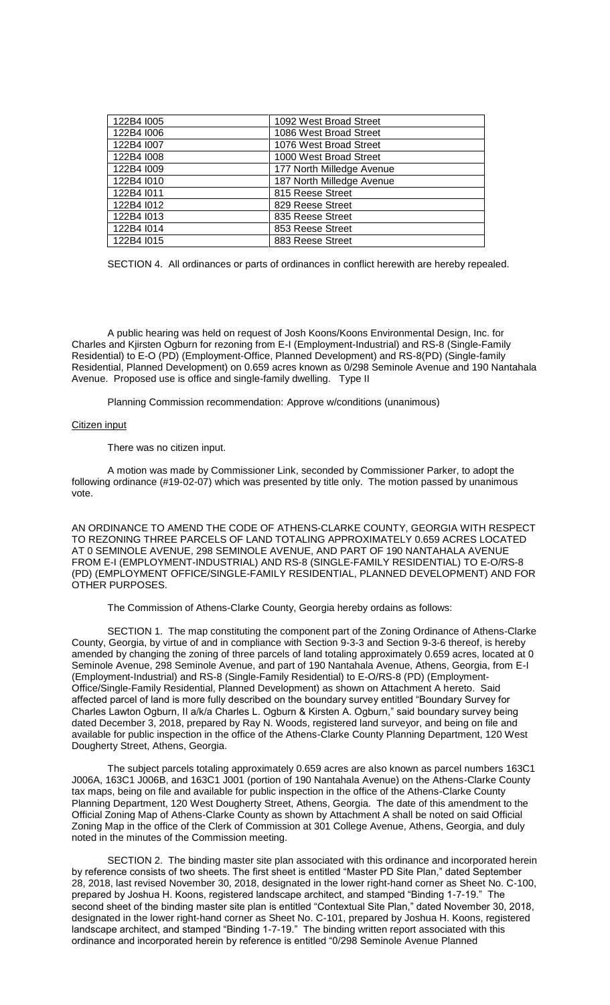| 122B4 1005 | 1092 West Broad Street    |
|------------|---------------------------|
| 122B4 1006 | 1086 West Broad Street    |
| 122B4 I007 | 1076 West Broad Street    |
| 122B4 1008 | 1000 West Broad Street    |
| 122B4 1009 | 177 North Milledge Avenue |
| 122B4 1010 | 187 North Milledge Avenue |
| 122B4 1011 | 815 Reese Street          |
| 122B4 1012 | 829 Reese Street          |
| 122B4 1013 | 835 Reese Street          |
| 122B4 I014 | 853 Reese Street          |
| 122B4 1015 | 883 Reese Street          |

SECTION 4. All ordinances or parts of ordinances in conflict herewith are hereby repealed.

A public hearing was held on request of Josh Koons/Koons Environmental Design, Inc. for Charles and Kjirsten Ogburn for rezoning from E-I (Employment-Industrial) and RS-8 (Single-Family Residential) to E-O (PD) (Employment-Office, Planned Development) and RS-8(PD) (Single-family Residential, Planned Development) on 0.659 acres known as 0/298 Seminole Avenue and 190 Nantahala Avenue. Proposed use is office and single-family dwelling. Type II

Planning Commission recommendation: Approve w/conditions (unanimous)

#### Citizen input

There was no citizen input.

A motion was made by Commissioner Link, seconded by Commissioner Parker, to adopt the following ordinance (#19-02-07) which was presented by title only. The motion passed by unanimous vote.

AN ORDINANCE TO AMEND THE CODE OF ATHENS-CLARKE COUNTY, GEORGIA WITH RESPECT TO REZONING THREE PARCELS OF LAND TOTALING APPROXIMATELY 0.659 ACRES LOCATED AT 0 SEMINOLE AVENUE, 298 SEMINOLE AVENUE, AND PART OF 190 NANTAHALA AVENUE FROM E-I (EMPLOYMENT-INDUSTRIAL) AND RS-8 (SINGLE-FAMILY RESIDENTIAL) TO E-O/RS-8 (PD) (EMPLOYMENT OFFICE/SINGLE-FAMILY RESIDENTIAL, PLANNED DEVELOPMENT) AND FOR OTHER PURPOSES.

The Commission of Athens-Clarke County, Georgia hereby ordains as follows:

SECTION 1. The map constituting the component part of the Zoning Ordinance of Athens-Clarke County, Georgia, by virtue of and in compliance with Section 9-3-3 and Section 9-3-6 thereof, is hereby amended by changing the zoning of three parcels of land totaling approximately 0.659 acres, located at 0 Seminole Avenue, 298 Seminole Avenue, and part of 190 Nantahala Avenue, Athens, Georgia, from E-I (Employment-Industrial) and RS-8 (Single-Family Residential) to E-O/RS-8 (PD) (Employment-Office/Single-Family Residential, Planned Development) as shown on Attachment A hereto. Said affected parcel of land is more fully described on the boundary survey entitled "Boundary Survey for Charles Lawton Ogburn, II a/k/a Charles L. Ogburn & Kirsten A. Ogburn," said boundary survey being dated December 3, 2018, prepared by Ray N. Woods, registered land surveyor, and being on file and available for public inspection in the office of the Athens-Clarke County Planning Department, 120 West Dougherty Street, Athens, Georgia.

The subject parcels totaling approximately 0.659 acres are also known as parcel numbers 163C1 J006A, 163C1 J006B, and 163C1 J001 (portion of 190 Nantahala Avenue) on the Athens-Clarke County tax maps, being on file and available for public inspection in the office of the Athens-Clarke County Planning Department, 120 West Dougherty Street, Athens, Georgia. The date of this amendment to the Official Zoning Map of Athens-Clarke County as shown by Attachment A shall be noted on said Official Zoning Map in the office of the Clerk of Commission at 301 College Avenue, Athens, Georgia, and duly noted in the minutes of the Commission meeting.

SECTION 2. The binding master site plan associated with this ordinance and incorporated herein by reference consists of two sheets. The first sheet is entitled "Master PD Site Plan," dated September 28, 2018, last revised November 30, 2018, designated in the lower right-hand corner as Sheet No. C-100, prepared by Joshua H. Koons, registered landscape architect, and stamped "Binding 1-7-19." The second sheet of the binding master site plan is entitled "Contextual Site Plan," dated November 30, 2018, designated in the lower right-hand corner as Sheet No. C-101, prepared by Joshua H. Koons, registered landscape architect, and stamped "Binding 1-7-19." The binding written report associated with this ordinance and incorporated herein by reference is entitled "0/298 Seminole Avenue Planned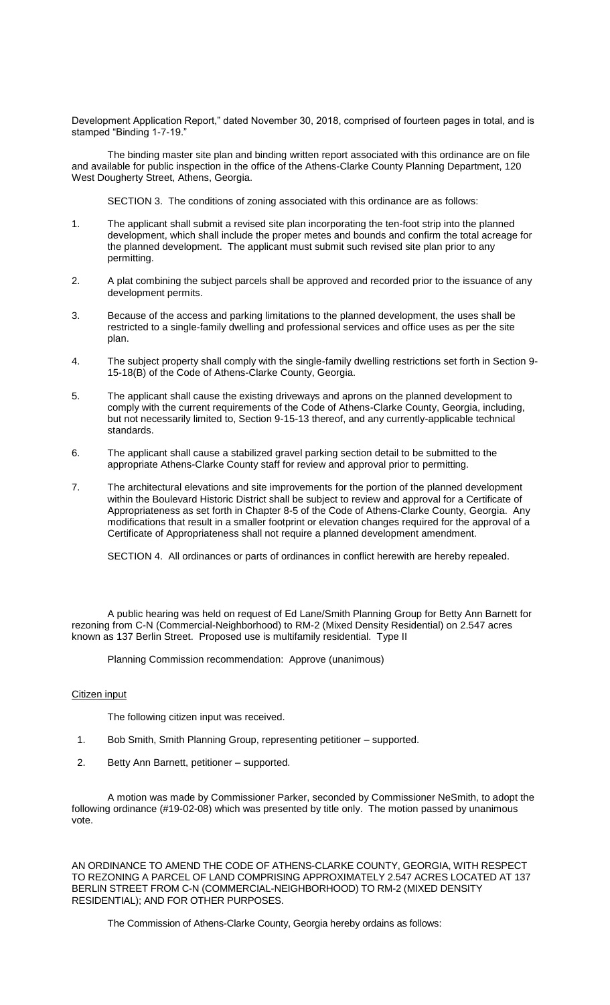Development Application Report," dated November 30, 2018, comprised of fourteen pages in total, and is stamped "Binding 1-7-19."

The binding master site plan and binding written report associated with this ordinance are on file and available for public inspection in the office of the Athens-Clarke County Planning Department, 120 West Dougherty Street, Athens, Georgia.

SECTION 3. The conditions of zoning associated with this ordinance are as follows:

- 1. The applicant shall submit a revised site plan incorporating the ten-foot strip into the planned development, which shall include the proper metes and bounds and confirm the total acreage for the planned development. The applicant must submit such revised site plan prior to any permitting.
- 2. A plat combining the subject parcels shall be approved and recorded prior to the issuance of any development permits.
- 3. Because of the access and parking limitations to the planned development, the uses shall be restricted to a single-family dwelling and professional services and office uses as per the site plan.
- 4. The subject property shall comply with the single-family dwelling restrictions set forth in Section 9- 15-18(B) of the Code of Athens-Clarke County, Georgia.
- 5. The applicant shall cause the existing driveways and aprons on the planned development to comply with the current requirements of the Code of Athens-Clarke County, Georgia, including, but not necessarily limited to, Section 9-15-13 thereof, and any currently-applicable technical standards.
- 6. The applicant shall cause a stabilized gravel parking section detail to be submitted to the appropriate Athens-Clarke County staff for review and approval prior to permitting.
- 7. The architectural elevations and site improvements for the portion of the planned development within the Boulevard Historic District shall be subject to review and approval for a Certificate of Appropriateness as set forth in Chapter 8-5 of the Code of Athens-Clarke County, Georgia. Any modifications that result in a smaller footprint or elevation changes required for the approval of a Certificate of Appropriateness shall not require a planned development amendment.

SECTION 4. All ordinances or parts of ordinances in conflict herewith are hereby repealed.

A public hearing was held on request of Ed Lane/Smith Planning Group for Betty Ann Barnett for rezoning from C-N (Commercial-Neighborhood) to RM-2 (Mixed Density Residential) on 2.547 acres known as 137 Berlin Street. Proposed use is multifamily residential. Type II

Planning Commission recommendation: Approve (unanimous)

## Citizen input

The following citizen input was received.

- 1. Bob Smith, Smith Planning Group, representing petitioner supported.
- 2. Betty Ann Barnett, petitioner supported.

A motion was made by Commissioner Parker, seconded by Commissioner NeSmith, to adopt the following ordinance (#19-02-08) which was presented by title only. The motion passed by unanimous vote.

AN ORDINANCE TO AMEND THE CODE OF ATHENS-CLARKE COUNTY, GEORGIA, WITH RESPECT TO REZONING A PARCEL OF LAND COMPRISING APPROXIMATELY 2.547 ACRES LOCATED AT 137 BERLIN STREET FROM C-N (COMMERCIAL-NEIGHBORHOOD) TO RM-2 (MIXED DENSITY RESIDENTIAL); AND FOR OTHER PURPOSES.

The Commission of Athens-Clarke County, Georgia hereby ordains as follows: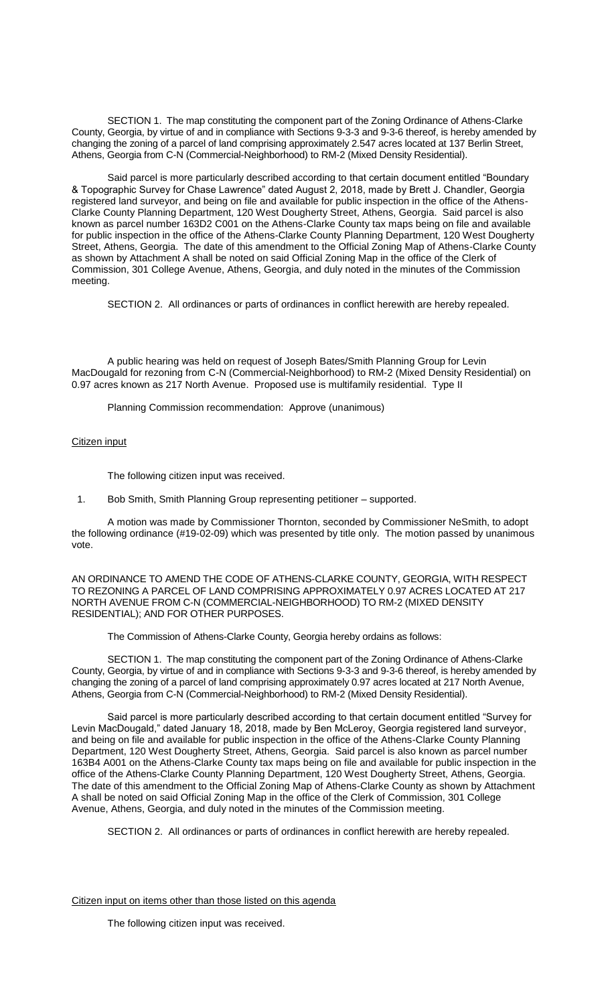SECTION 1. The map constituting the component part of the Zoning Ordinance of Athens-Clarke County, Georgia, by virtue of and in compliance with Sections 9-3-3 and 9-3-6 thereof, is hereby amended by changing the zoning of a parcel of land comprising approximately 2.547 acres located at 137 Berlin Street, Athens, Georgia from C-N (Commercial-Neighborhood) to RM-2 (Mixed Density Residential).

Said parcel is more particularly described according to that certain document entitled "Boundary & Topographic Survey for Chase Lawrence" dated August 2, 2018, made by Brett J. Chandler, Georgia registered land surveyor, and being on file and available for public inspection in the office of the Athens-Clarke County Planning Department, 120 West Dougherty Street, Athens, Georgia. Said parcel is also known as parcel number 163D2 C001 on the Athens-Clarke County tax maps being on file and available for public inspection in the office of the Athens-Clarke County Planning Department, 120 West Dougherty Street, Athens, Georgia. The date of this amendment to the Official Zoning Map of Athens-Clarke County as shown by Attachment A shall be noted on said Official Zoning Map in the office of the Clerk of Commission, 301 College Avenue, Athens, Georgia, and duly noted in the minutes of the Commission meeting.

SECTION 2. All ordinances or parts of ordinances in conflict herewith are hereby repealed.

A public hearing was held on request of Joseph Bates/Smith Planning Group for Levin MacDougald for rezoning from C-N (Commercial-Neighborhood) to RM-2 (Mixed Density Residential) on 0.97 acres known as 217 North Avenue. Proposed use is multifamily residential. Type II

Planning Commission recommendation: Approve (unanimous)

#### Citizen input

The following citizen input was received.

1. Bob Smith, Smith Planning Group representing petitioner – supported.

A motion was made by Commissioner Thornton, seconded by Commissioner NeSmith, to adopt the following ordinance (#19-02-09) which was presented by title only. The motion passed by unanimous vote.

AN ORDINANCE TO AMEND THE CODE OF ATHENS-CLARKE COUNTY, GEORGIA, WITH RESPECT TO REZONING A PARCEL OF LAND COMPRISING APPROXIMATELY 0.97 ACRES LOCATED AT 217 NORTH AVENUE FROM C-N (COMMERCIAL-NEIGHBORHOOD) TO RM-2 (MIXED DENSITY RESIDENTIAL); AND FOR OTHER PURPOSES.

The Commission of Athens-Clarke County, Georgia hereby ordains as follows:

SECTION 1. The map constituting the component part of the Zoning Ordinance of Athens-Clarke County, Georgia, by virtue of and in compliance with Sections 9-3-3 and 9-3-6 thereof, is hereby amended by changing the zoning of a parcel of land comprising approximately 0.97 acres located at 217 North Avenue, Athens, Georgia from C-N (Commercial-Neighborhood) to RM-2 (Mixed Density Residential).

Said parcel is more particularly described according to that certain document entitled "Survey for Levin MacDougald," dated January 18, 2018, made by Ben McLeroy, Georgia registered land surveyor, and being on file and available for public inspection in the office of the Athens-Clarke County Planning Department, 120 West Dougherty Street, Athens, Georgia. Said parcel is also known as parcel number 163B4 A001 on the Athens-Clarke County tax maps being on file and available for public inspection in the office of the Athens-Clarke County Planning Department, 120 West Dougherty Street, Athens, Georgia. The date of this amendment to the Official Zoning Map of Athens-Clarke County as shown by Attachment A shall be noted on said Official Zoning Map in the office of the Clerk of Commission, 301 College Avenue, Athens, Georgia, and duly noted in the minutes of the Commission meeting.

SECTION 2. All ordinances or parts of ordinances in conflict herewith are hereby repealed.

Citizen input on items other than those listed on this agenda

The following citizen input was received.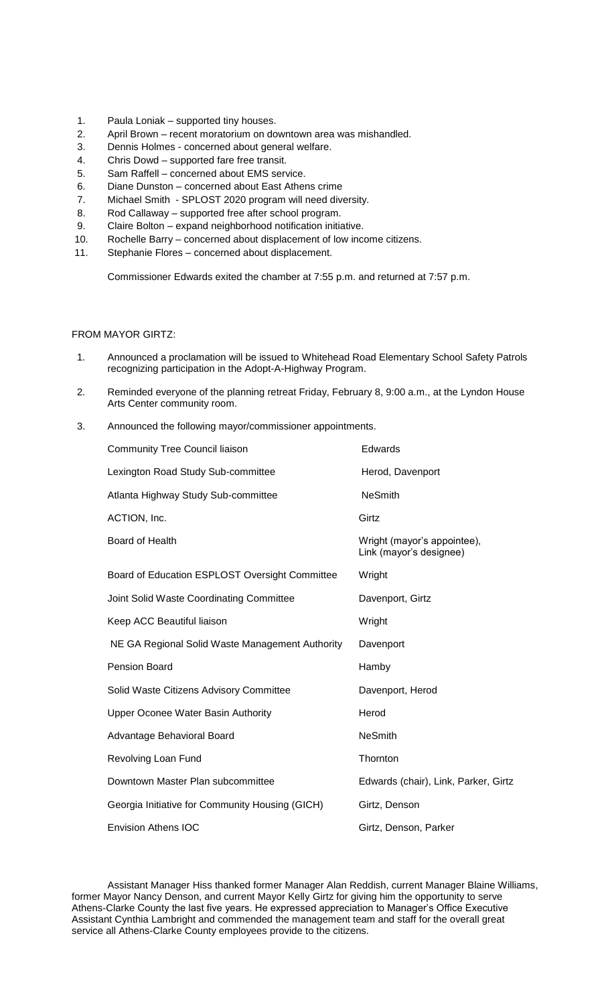- 1. Paula Loniak supported tiny houses.
- 2. April Brown recent moratorium on downtown area was mishandled.
- 3. Dennis Holmes concerned about general welfare.
- 4. Chris Dowd supported fare free transit.
- 5. Sam Raffell concerned about EMS service.
- 6. Diane Dunston concerned about East Athens crime
- 7. Michael Smith SPLOST 2020 program will need diversity.
- 8. Rod Callaway supported free after school program.
- 9. Claire Bolton expand neighborhood notification initiative.
- 10. Rochelle Barry concerned about displacement of low income citizens.
- 11. Stephanie Flores concerned about displacement.

Commissioner Edwards exited the chamber at 7:55 p.m. and returned at 7:57 p.m.

### FROM MAYOR GIRTZ:

- 1. Announced a proclamation will be issued to Whitehead Road Elementary School Safety Patrols recognizing participation in the Adopt-A-Highway Program.
- 2. Reminded everyone of the planning retreat Friday, February 8, 9:00 a.m., at the Lyndon House Arts Center community room.
- 3. Announced the following mayor/commissioner appointments.

| <b>Community Tree Council liaison</b>           | Edwards                                                |
|-------------------------------------------------|--------------------------------------------------------|
| Lexington Road Study Sub-committee              | Herod, Davenport                                       |
| Atlanta Highway Study Sub-committee             | <b>NeSmith</b>                                         |
| ACTION, Inc.                                    | Girtz                                                  |
| Board of Health                                 | Wright (mayor's appointee),<br>Link (mayor's designee) |
| Board of Education ESPLOST Oversight Committee  | Wright                                                 |
| Joint Solid Waste Coordinating Committee        | Davenport, Girtz                                       |
| Keep ACC Beautiful liaison                      | Wright                                                 |
| NE GA Regional Solid Waste Management Authority | Davenport                                              |
| <b>Pension Board</b>                            | Hamby                                                  |
| Solid Waste Citizens Advisory Committee         | Davenport, Herod                                       |
| <b>Upper Oconee Water Basin Authority</b>       | Herod                                                  |
| Advantage Behavioral Board                      | <b>NeSmith</b>                                         |
| Revolving Loan Fund                             | Thornton                                               |
| Downtown Master Plan subcommittee               | Edwards (chair), Link, Parker, Girtz                   |
| Georgia Initiative for Community Housing (GICH) | Girtz, Denson                                          |
| Envision Athens IOC                             | Girtz, Denson, Parker                                  |

Assistant Manager Hiss thanked former Manager Alan Reddish, current Manager Blaine Williams, former Mayor Nancy Denson, and current Mayor Kelly Girtz for giving him the opportunity to serve Athens-Clarke County the last five years. He expressed appreciation to Manager's Office Executive Assistant Cynthia Lambright and commended the management team and staff for the overall great service all Athens-Clarke County employees provide to the citizens.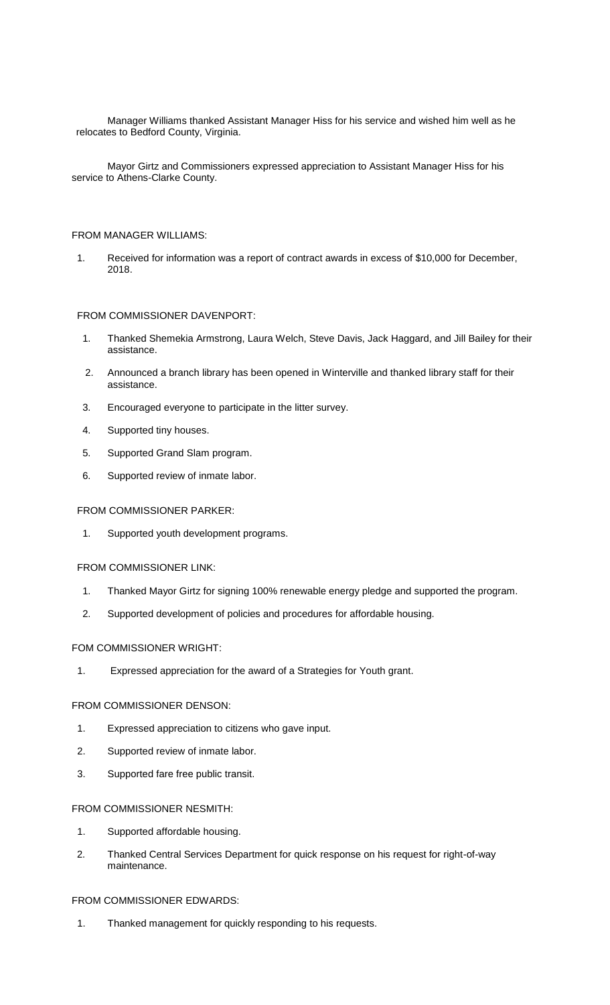Manager Williams thanked Assistant Manager Hiss for his service and wished him well as he relocates to Bedford County, Virginia.

Mayor Girtz and Commissioners expressed appreciation to Assistant Manager Hiss for his service to Athens-Clarke County.

## FROM MANAGER WILLIAMS:

1. Received for information was a report of contract awards in excess of \$10,000 for December, 2018.

## FROM COMMISSIONER DAVENPORT:

- 1. Thanked Shemekia Armstrong, Laura Welch, Steve Davis, Jack Haggard, and Jill Bailey for their assistance.
- 2. Announced a branch library has been opened in Winterville and thanked library staff for their assistance.
- 3. Encouraged everyone to participate in the litter survey.
- 4. Supported tiny houses.
- 5. Supported Grand Slam program.
- 6. Supported review of inmate labor.

## FROM COMMISSIONER PARKER:

1. Supported youth development programs.

## FROM COMMISSIONER LINK:

- 1. Thanked Mayor Girtz for signing 100% renewable energy pledge and supported the program.
- 2. Supported development of policies and procedures for affordable housing.

### FOM COMMISSIONER WRIGHT:

1. Expressed appreciation for the award of a Strategies for Youth grant.

## FROM COMMISSIONER DENSON:

- 1. Expressed appreciation to citizens who gave input.
- 2. Supported review of inmate labor.
- 3. Supported fare free public transit.

### FROM COMMISSIONER NESMITH:

- 1. Supported affordable housing.
- 2. Thanked Central Services Department for quick response on his request for right-of-way maintenance.

# FROM COMMISSIONER EDWARDS:

1. Thanked management for quickly responding to his requests.